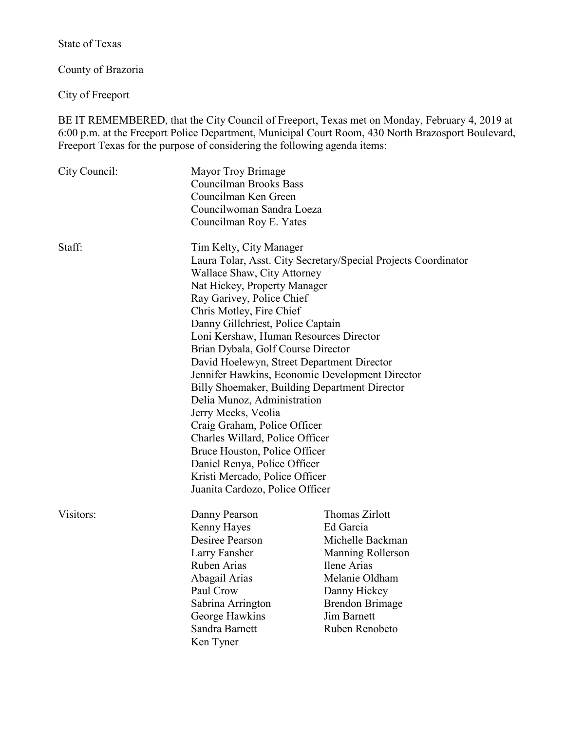State of Texas

County of Brazoria

City of Freeport

BE IT REMEMBERED, that the City Council of Freeport, Texas met on Monday, February 4, 2019 at 6:00 p.m. at the Freeport Police Department, Municipal Court Room, 430 North Brazosport Boulevard, Freeport Texas for the purpose of considering the following agenda items:

| City Council:                                                                                                                                                                                                            | Mayor Troy Brimage<br><b>Councilman Brooks Bass</b><br>Councilman Ken Green<br>Councilwoman Sandra Loeza<br>Councilman Roy E. Yates |                                 |        |                                                                                                                                                                                        |                          |
|--------------------------------------------------------------------------------------------------------------------------------------------------------------------------------------------------------------------------|-------------------------------------------------------------------------------------------------------------------------------------|---------------------------------|--------|----------------------------------------------------------------------------------------------------------------------------------------------------------------------------------------|--------------------------|
|                                                                                                                                                                                                                          |                                                                                                                                     |                                 | Staff: | Tim Kelty, City Manager                                                                                                                                                                |                          |
|                                                                                                                                                                                                                          |                                                                                                                                     |                                 |        | Laura Tolar, Asst. City Secretary/Special Projects Coordinator<br>Wallace Shaw, City Attorney<br>Nat Hickey, Property Manager<br>Ray Garivey, Police Chief<br>Chris Motley, Fire Chief |                          |
|                                                                                                                                                                                                                          |                                                                                                                                     |                                 |        |                                                                                                                                                                                        |                          |
| Loni Kershaw, Human Resources Director                                                                                                                                                                                   |                                                                                                                                     |                                 |        |                                                                                                                                                                                        |                          |
| Brian Dybala, Golf Course Director                                                                                                                                                                                       |                                                                                                                                     |                                 |        |                                                                                                                                                                                        |                          |
| David Hoelewyn, Street Department Director                                                                                                                                                                               |                                                                                                                                     |                                 |        |                                                                                                                                                                                        |                          |
| Jennifer Hawkins, Economic Development Director                                                                                                                                                                          |                                                                                                                                     |                                 |        |                                                                                                                                                                                        |                          |
| Billy Shoemaker, Building Department Director                                                                                                                                                                            |                                                                                                                                     |                                 |        |                                                                                                                                                                                        |                          |
| Delia Munoz, Administration<br>Jerry Meeks, Veolia<br>Craig Graham, Police Officer<br>Charles Willard, Police Officer<br>Bruce Houston, Police Officer<br>Daniel Renya, Police Officer<br>Kristi Mercado, Police Officer |                                                                                                                                     |                                 |        |                                                                                                                                                                                        |                          |
|                                                                                                                                                                                                                          |                                                                                                                                     | Juanita Cardozo, Police Officer |        |                                                                                                                                                                                        |                          |
|                                                                                                                                                                                                                          |                                                                                                                                     | Visitors:                       |        | Danny Pearson                                                                                                                                                                          | <b>Thomas Zirlott</b>    |
|                                                                                                                                                                                                                          |                                                                                                                                     |                                 |        | Kenny Hayes                                                                                                                                                                            | Ed Garcia                |
|                                                                                                                                                                                                                          |                                                                                                                                     |                                 |        | Desiree Pearson                                                                                                                                                                        | Michelle Backman         |
|                                                                                                                                                                                                                          |                                                                                                                                     |                                 |        | Larry Fansher                                                                                                                                                                          | <b>Manning Rollerson</b> |
|                                                                                                                                                                                                                          |                                                                                                                                     |                                 |        | Ruben Arias                                                                                                                                                                            | Ilene Arias              |
| Abagail Arias                                                                                                                                                                                                            | Melanie Oldham                                                                                                                      |                                 |        |                                                                                                                                                                                        |                          |
| Paul Crow                                                                                                                                                                                                                | Danny Hickey                                                                                                                        |                                 |        |                                                                                                                                                                                        |                          |
| Sabrina Arrington                                                                                                                                                                                                        | <b>Brendon Brimage</b>                                                                                                              |                                 |        |                                                                                                                                                                                        |                          |
| George Hawkins                                                                                                                                                                                                           | <b>Jim Barnett</b>                                                                                                                  |                                 |        |                                                                                                                                                                                        |                          |
| Sandra Barnett                                                                                                                                                                                                           | Ruben Renobeto                                                                                                                      |                                 |        |                                                                                                                                                                                        |                          |
| Ken Tyner                                                                                                                                                                                                                |                                                                                                                                     |                                 |        |                                                                                                                                                                                        |                          |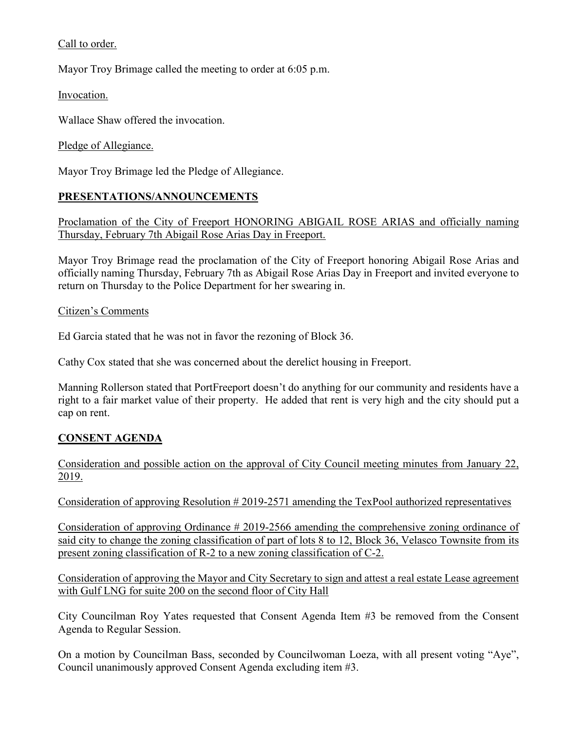# Call to order.

Mayor Troy Brimage called the meeting to order at 6:05 p.m.

Invocation.

Wallace Shaw offered the invocation.

Pledge of Allegiance.

Mayor Troy Brimage led the Pledge of Allegiance.

### **PRESENTATIONS/ANNOUNCEMENTS**

Proclamation of the City of Freeport HONORING ABIGAIL ROSE ARIAS and officially naming Thursday, February 7th Abigail Rose Arias Day in Freeport.

Mayor Troy Brimage read the proclamation of the City of Freeport honoring Abigail Rose Arias and officially naming Thursday, February 7th as Abigail Rose Arias Day in Freeport and invited everyone to return on Thursday to the Police Department for her swearing in.

### Citizen's Comments

Ed Garcia stated that he was not in favor the rezoning of Block 36.

Cathy Cox stated that she was concerned about the derelict housing in Freeport.

Manning Rollerson stated that PortFreeport doesn't do anything for our community and residents have a right to a fair market value of their property. He added that rent is very high and the city should put a cap on rent.

# **CONSENT AGENDA**

Consideration and possible action on the approval of City Council meeting minutes from January 22, 2019.

Consideration of approving Resolution # 2019-2571 amending the TexPool authorized representatives

Consideration of approving Ordinance # 2019-2566 amending the comprehensive zoning ordinance of said city to change the zoning classification of part of lots 8 to 12, Block 36, Velasco Townsite from its present zoning classification of R-2 to a new zoning classification of C-2.

Consideration of approving the Mayor and City Secretary to sign and attest a real estate Lease agreement with Gulf LNG for suite 200 on the second floor of City Hall

City Councilman Roy Yates requested that Consent Agenda Item #3 be removed from the Consent Agenda to Regular Session.

On a motion by Councilman Bass, seconded by Councilwoman Loeza, with all present voting "Aye", Council unanimously approved Consent Agenda excluding item #3.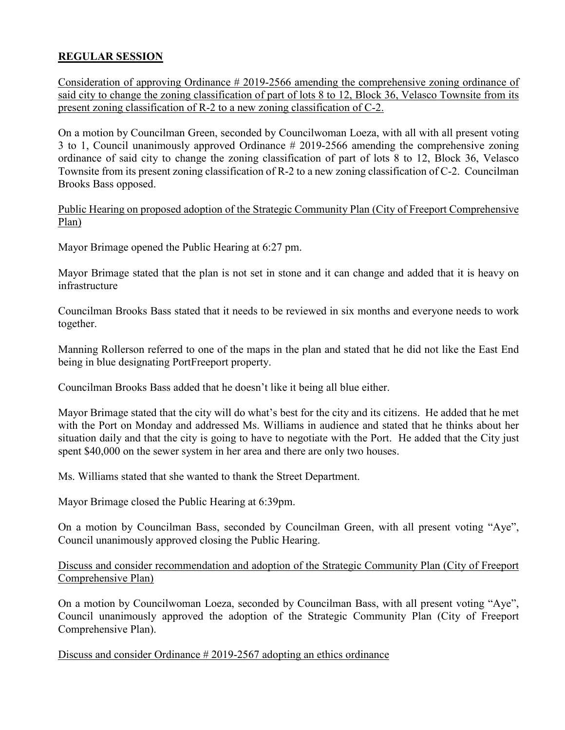# **REGULAR SESSION**

Consideration of approving Ordinance # 2019-2566 amending the comprehensive zoning ordinance of said city to change the zoning classification of part of lots 8 to 12, Block 36, Velasco Townsite from its present zoning classification of R-2 to a new zoning classification of C-2.

On a motion by Councilman Green, seconded by Councilwoman Loeza, with all with all present voting 3 to 1, Council unanimously approved Ordinance # 2019-2566 amending the comprehensive zoning ordinance of said city to change the zoning classification of part of lots 8 to 12, Block 36, Velasco Townsite from its present zoning classification of R-2 to a new zoning classification of C-2. Councilman Brooks Bass opposed.

Public Hearing on proposed adoption of the Strategic Community Plan (City of Freeport Comprehensive Plan)

Mayor Brimage opened the Public Hearing at 6:27 pm.

Mayor Brimage stated that the plan is not set in stone and it can change and added that it is heavy on infrastructure

Councilman Brooks Bass stated that it needs to be reviewed in six months and everyone needs to work together.

Manning Rollerson referred to one of the maps in the plan and stated that he did not like the East End being in blue designating PortFreeport property.

Councilman Brooks Bass added that he doesn't like it being all blue either.

Mayor Brimage stated that the city will do what's best for the city and its citizens. He added that he met with the Port on Monday and addressed Ms. Williams in audience and stated that he thinks about her situation daily and that the city is going to have to negotiate with the Port. He added that the City just spent \$40,000 on the sewer system in her area and there are only two houses.

Ms. Williams stated that she wanted to thank the Street Department.

Mayor Brimage closed the Public Hearing at 6:39pm.

On a motion by Councilman Bass, seconded by Councilman Green, with all present voting "Aye", Council unanimously approved closing the Public Hearing.

### Discuss and consider recommendation and adoption of the Strategic Community Plan (City of Freeport Comprehensive Plan)

On a motion by Councilwoman Loeza, seconded by Councilman Bass, with all present voting "Aye", Council unanimously approved the adoption of the Strategic Community Plan (City of Freeport Comprehensive Plan).

Discuss and consider Ordinance # 2019-2567 adopting an ethics ordinance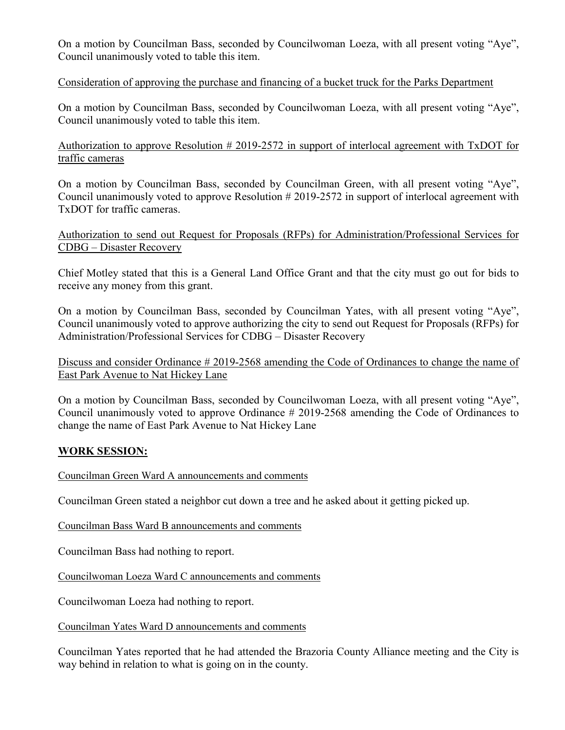On a motion by Councilman Bass, seconded by Councilwoman Loeza, with all present voting "Aye", Council unanimously voted to table this item.

### Consideration of approving the purchase and financing of a bucket truck for the Parks Department

On a motion by Councilman Bass, seconded by Councilwoman Loeza, with all present voting "Aye", Council unanimously voted to table this item.

Authorization to approve Resolution  $\#2019-2572$  in support of interlocal agreement with TxDOT for traffic cameras

On a motion by Councilman Bass, seconded by Councilman Green, with all present voting "Aye", Council unanimously voted to approve Resolution # 2019-2572 in support of interlocal agreement with TxDOT for traffic cameras.

Authorization to send out Request for Proposals (RFPs) for Administration/Professional Services for CDBG – Disaster Recovery

Chief Motley stated that this is a General Land Office Grant and that the city must go out for bids to receive any money from this grant.

On a motion by Councilman Bass, seconded by Councilman Yates, with all present voting "Aye", Council unanimously voted to approve authorizing the city to send out Request for Proposals (RFPs) for Administration/Professional Services for CDBG – Disaster Recovery

Discuss and consider Ordinance # 2019-2568 amending the Code of Ordinances to change the name of East Park Avenue to Nat Hickey Lane

On a motion by Councilman Bass, seconded by Councilwoman Loeza, with all present voting "Aye", Council unanimously voted to approve Ordinance # 2019-2568 amending the Code of Ordinances to change the name of East Park Avenue to Nat Hickey Lane

# **WORK SESSION:**

Councilman Green Ward A announcements and comments

Councilman Green stated a neighbor cut down a tree and he asked about it getting picked up.

Councilman Bass Ward B announcements and comments

Councilman Bass had nothing to report.

Councilwoman Loeza Ward C announcements and comments

Councilwoman Loeza had nothing to report.

Councilman Yates Ward D announcements and comments

Councilman Yates reported that he had attended the Brazoria County Alliance meeting and the City is way behind in relation to what is going on in the county.